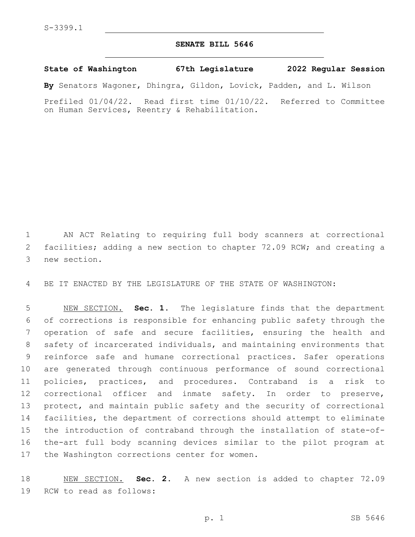## **SENATE BILL 5646**

**State of Washington 67th Legislature 2022 Regular Session**

**By** Senators Wagoner, Dhingra, Gildon, Lovick, Padden, and L. Wilson

Prefiled 01/04/22. Read first time 01/10/22. Referred to Committee on Human Services, Reentry & Rehabilitation.

 AN ACT Relating to requiring full body scanners at correctional facilities; adding a new section to chapter 72.09 RCW; and creating a 3 new section.

BE IT ENACTED BY THE LEGISLATURE OF THE STATE OF WASHINGTON:

 NEW SECTION. **Sec. 1.** The legislature finds that the department of corrections is responsible for enhancing public safety through the operation of safe and secure facilities, ensuring the health and safety of incarcerated individuals, and maintaining environments that reinforce safe and humane correctional practices. Safer operations are generated through continuous performance of sound correctional policies, practices, and procedures. Contraband is a risk to correctional officer and inmate safety. In order to preserve, protect, and maintain public safety and the security of correctional facilities, the department of corrections should attempt to eliminate the introduction of contraband through the installation of state-of- the-art full body scanning devices similar to the pilot program at the Washington corrections center for women.

 NEW SECTION. **Sec. 2.** A new section is added to chapter 72.09 19 RCW to read as follows: